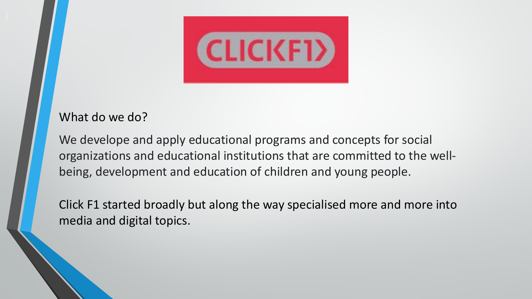

#### What do we do?

We develope and apply educational programs and concepts for social organizations and educational institutions that are committed to the wellbeing, development and education of children and young people.

Click F1 started broadly but along the way specialised more and more into media and digital topics.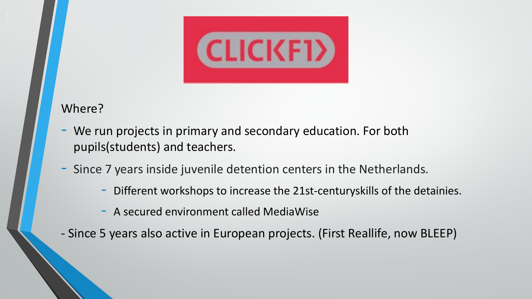

#### Where?

- We run projects in primary and secondary education. For both pupils(students) and teachers.
- Since 7 years inside juvenile detention centers in the Netherlands.
	- Different workshops to increase the 21st-centuryskills of the detainies.
	- A secured environment called MediaWise
- Since 5 years also active in European projects. (First Reallife, now BLEEP)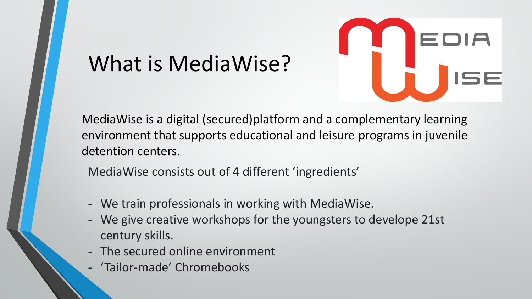# What is MediaWise?



MediaWise is a digital (secured)platform and a complementary learning environment that supports educational and leisure programs in juvenile detention centers.

MediaWise consists out of 4 different 'ingredients'

- We train professionals in working with MediaWise.
- We give creative workshops for the youngsters to develope 21st century skills.
- The secured online environment
- 'Tailor-made' Chromebooks

-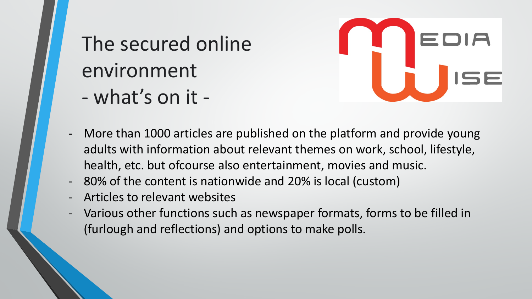## The secured online environment - what's on it -



- More than 1000 articles are published on the platform and provide young adults with information about relevant themes on work, school, lifestyle, health, etc. but ofcourse also entertainment, movies and music.
- 80% of the content is nationwide and 20% is local (custom)
- Articles to relevant websites
- Various other functions such as newspaper formats, forms to be filled in (furlough and reflections) and options to make polls.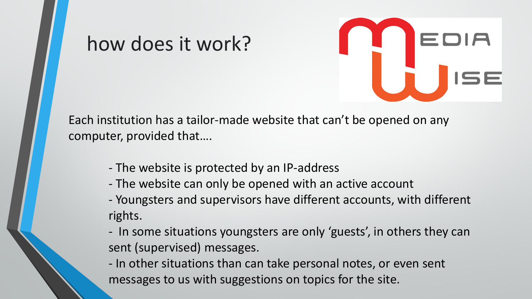

#### Each institution has a tailor-made website that can't be opened on any computer, provided that….

- The website is protected by an IP-address

how does it work?

- The website can only be opened with an active account
- Youngsters and supervisors have different accounts, with different rights.
- In some situations youngsters are only 'guests', in others they can sent (supervised) messages.
- In other situations than can take personal notes, or even sent messages to us with suggestions on topics for the site.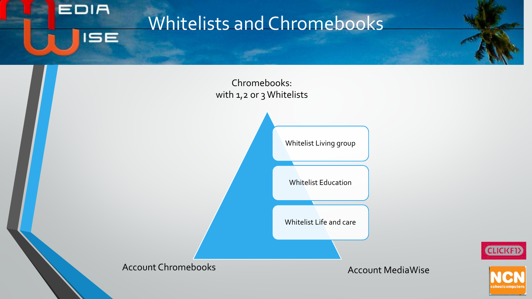### Whitelists and Chromebooks







**EDIA** 

**ISE**